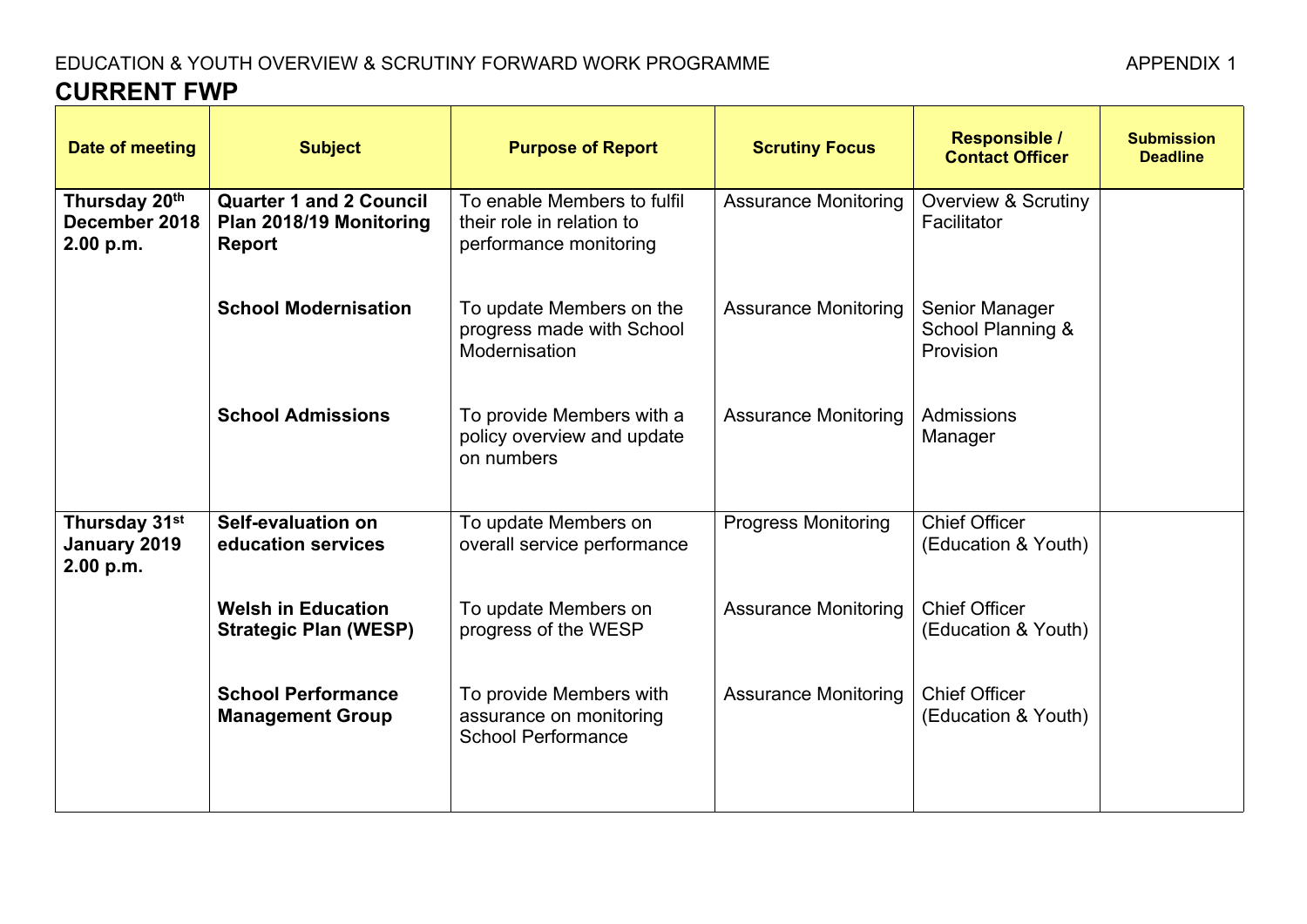## EDUCATION & YOUTH OVERVIEW & SCRUTINY FORWARD WORK PROGRAMME AND APPENDIX 1 **CURRENT FWP**

| Date of meeting                                         | <b>Subject</b>                                                      | <b>Purpose of Report</b>                                                           | <b>Scrutiny Focus</b>       | <b>Responsible /</b><br><b>Contact Officer</b>   | <b>Submission</b><br><b>Deadline</b> |
|---------------------------------------------------------|---------------------------------------------------------------------|------------------------------------------------------------------------------------|-----------------------------|--------------------------------------------------|--------------------------------------|
| Thursday 20 <sup>th</sup><br>December 2018<br>2.00 p.m. | <b>Quarter 1 and 2 Council</b><br>Plan 2018/19 Monitoring<br>Report | To enable Members to fulfil<br>their role in relation to<br>performance monitoring | <b>Assurance Monitoring</b> | <b>Overview &amp; Scrutiny</b><br>Facilitator    |                                      |
|                                                         | <b>School Modernisation</b>                                         | To update Members on the<br>progress made with School<br>Modernisation             | <b>Assurance Monitoring</b> | Senior Manager<br>School Planning &<br>Provision |                                      |
|                                                         | <b>School Admissions</b>                                            | To provide Members with a<br>policy overview and update<br>on numbers              | <b>Assurance Monitoring</b> | Admissions<br>Manager                            |                                      |
| Thursday 31st<br>January 2019<br>2.00 p.m.              | Self-evaluation on<br>education services                            | To update Members on<br>overall service performance                                | <b>Progress Monitoring</b>  | <b>Chief Officer</b><br>(Education & Youth)      |                                      |
|                                                         | <b>Welsh in Education</b><br><b>Strategic Plan (WESP)</b>           | To update Members on<br>progress of the WESP                                       | <b>Assurance Monitoring</b> | <b>Chief Officer</b><br>(Education & Youth)      |                                      |
|                                                         | <b>School Performance</b><br><b>Management Group</b>                | To provide Members with<br>assurance on monitoring<br><b>School Performance</b>    | <b>Assurance Monitoring</b> | <b>Chief Officer</b><br>(Education & Youth)      |                                      |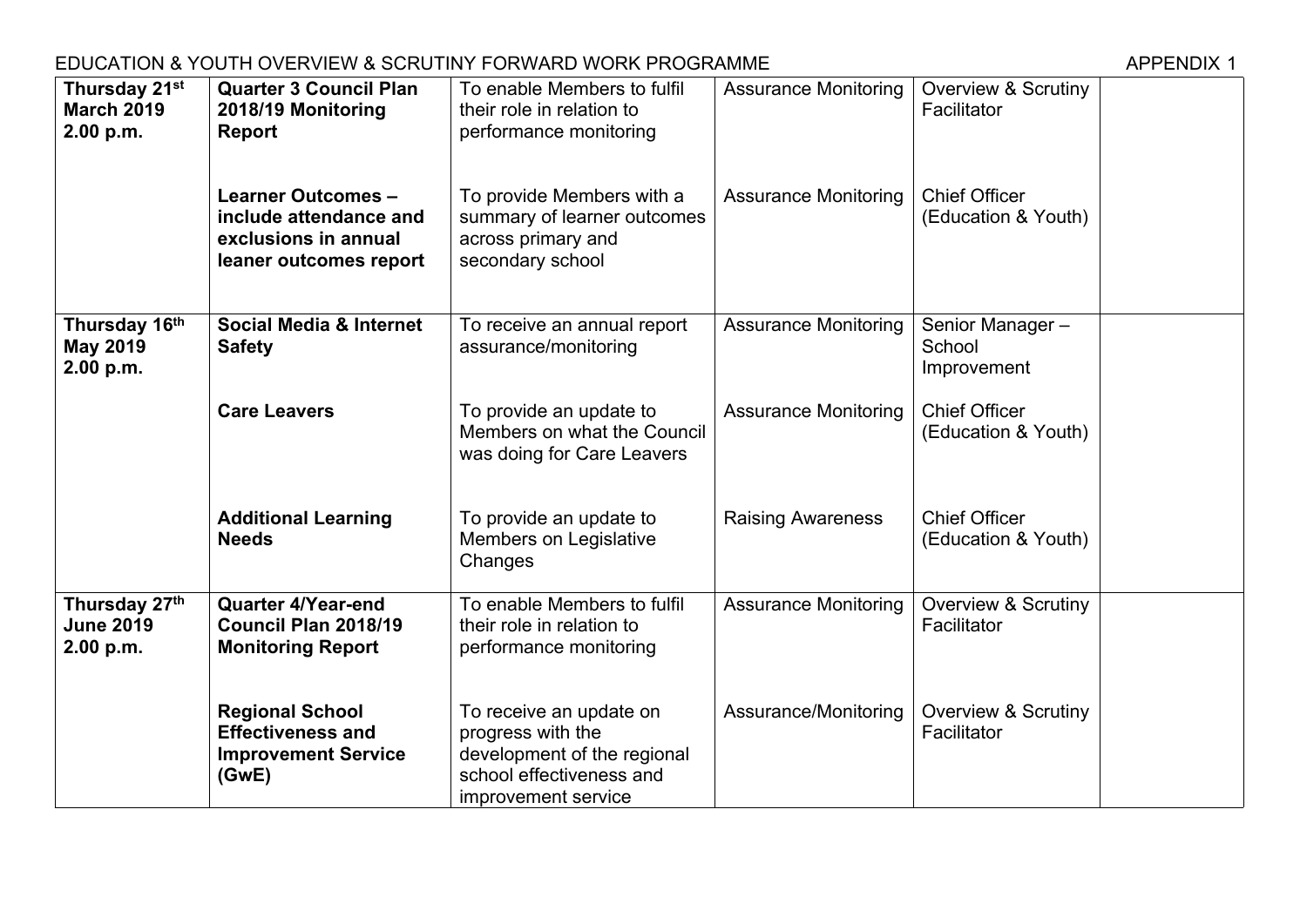## EDUCATION & YOUTH OVERVIEW & SCRUTINY FORWARD WORK PROGRAMME AND APPENDIX 1

| Thursday 21st<br><b>March 2019</b><br>2.00 p.m. | <b>Quarter 3 Council Plan</b><br>2018/19 Monitoring<br><b>Report</b>                                  | To enable Members to fulfil<br>their role in relation to<br>performance monitoring                                             | <b>Assurance Monitoring</b> | <b>Overview &amp; Scrutiny</b><br>Facilitator |  |
|-------------------------------------------------|-------------------------------------------------------------------------------------------------------|--------------------------------------------------------------------------------------------------------------------------------|-----------------------------|-----------------------------------------------|--|
|                                                 | <b>Learner Outcomes -</b><br>include attendance and<br>exclusions in annual<br>leaner outcomes report | To provide Members with a<br>summary of learner outcomes<br>across primary and<br>secondary school                             | <b>Assurance Monitoring</b> | <b>Chief Officer</b><br>(Education & Youth)   |  |
| Thursday 16th<br><b>May 2019</b><br>2.00 p.m.   | <b>Social Media &amp; Internet</b><br><b>Safety</b>                                                   | To receive an annual report<br>assurance/monitoring                                                                            | <b>Assurance Monitoring</b> | Senior Manager-<br>School<br>Improvement      |  |
|                                                 | <b>Care Leavers</b>                                                                                   | To provide an update to<br>Members on what the Council<br>was doing for Care Leavers                                           | <b>Assurance Monitoring</b> | <b>Chief Officer</b><br>(Education & Youth)   |  |
|                                                 | <b>Additional Learning</b><br><b>Needs</b>                                                            | To provide an update to<br>Members on Legislative<br>Changes                                                                   | <b>Raising Awareness</b>    | <b>Chief Officer</b><br>(Education & Youth)   |  |
| Thursday 27th<br><b>June 2019</b><br>2.00 p.m.  | <b>Quarter 4/Year-end</b><br>Council Plan 2018/19<br><b>Monitoring Report</b>                         | To enable Members to fulfil<br>their role in relation to<br>performance monitoring                                             | <b>Assurance Monitoring</b> | <b>Overview &amp; Scrutiny</b><br>Facilitator |  |
|                                                 | <b>Regional School</b><br><b>Effectiveness and</b><br><b>Improvement Service</b><br>(GwE)             | To receive an update on<br>progress with the<br>development of the regional<br>school effectiveness and<br>improvement service | Assurance/Monitoring        | <b>Overview &amp; Scrutiny</b><br>Facilitator |  |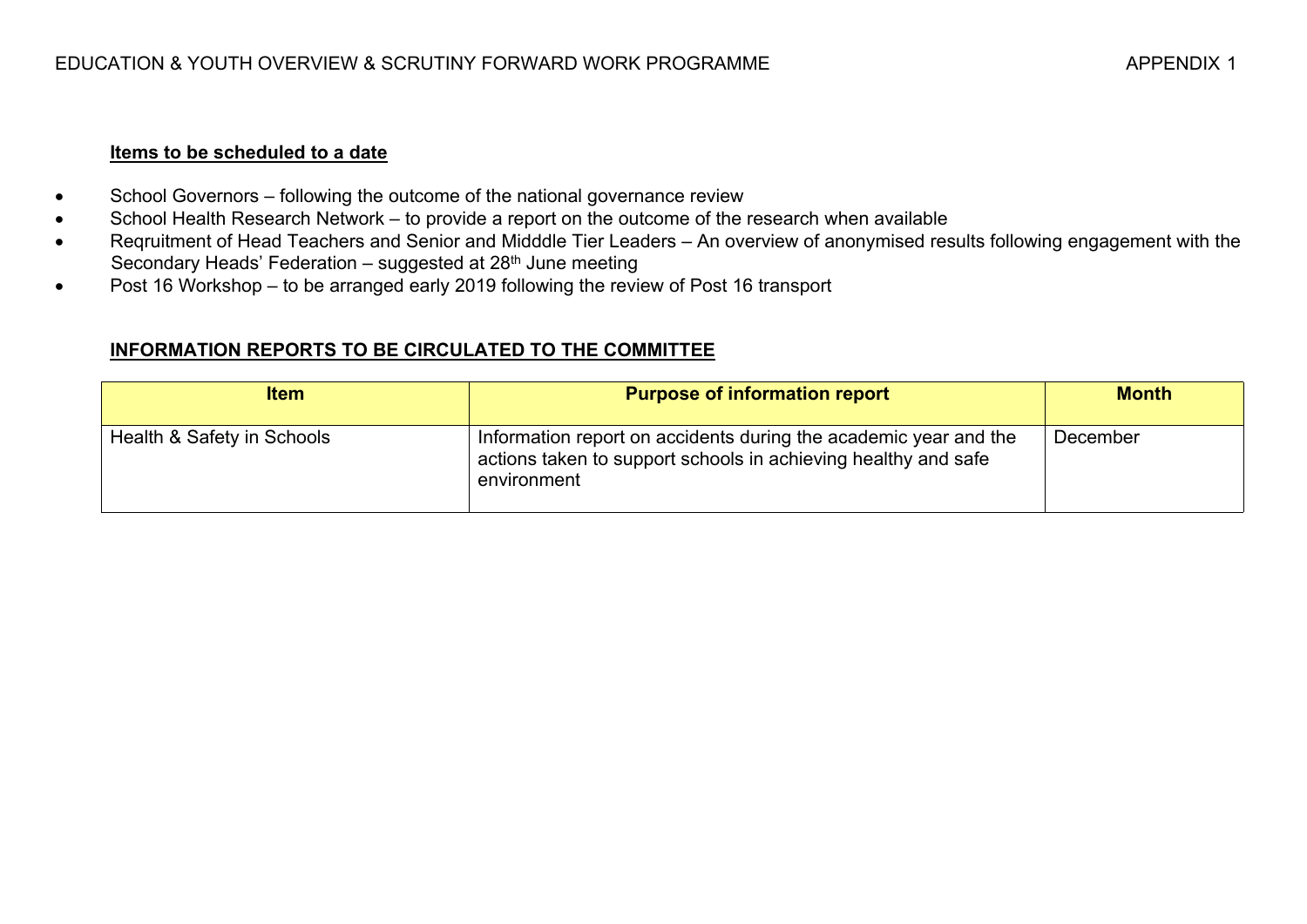#### **Items to be scheduled to a date**

- School Governors following the outcome of the national governance review
- School Health Research Network to provide a report on the outcome of the research when available
- Reqruitment of Head Teachers and Senior and Midddle Tier Leaders An overview of anonymised results following engagement with the Secondary Heads' Federation – suggested at 28<sup>th</sup> June meeting
- Post 16 Workshop to be arranged early 2019 following the review of Post 16 transport

### **INFORMATION REPORTS TO BE CIRCULATED TO THE COMMITTEE**

| <b>Item</b>                | <b>Purpose of information report</b>                                                                                                              | <b>Month</b> |
|----------------------------|---------------------------------------------------------------------------------------------------------------------------------------------------|--------------|
| Health & Safety in Schools | Information report on accidents during the academic year and the<br>actions taken to support schools in achieving healthy and safe<br>environment | December     |